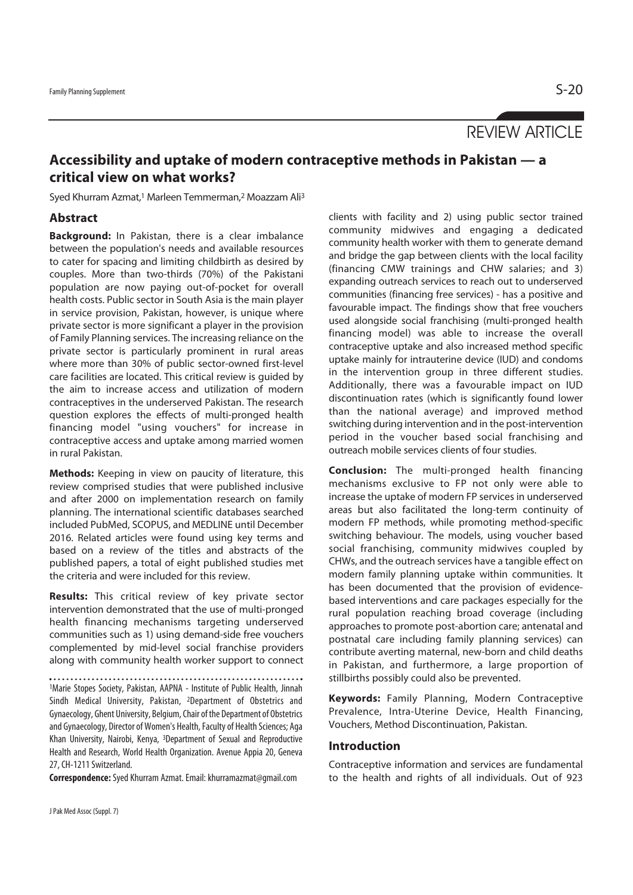# REVIEW ARTICLE

# **Accessibility and uptake of modern contraceptive methods in Pakistan — a critical view on what works?**

Syed Khurram Azmat,<sup>1</sup> Marleen Temmerman,<sup>2</sup> Moazzam Ali<sup>3</sup>

## **Abstract**

**Background:** In Pakistan, there is a clear imbalance between the population's needs and available resources to cater for spacing and limiting childbirth as desired by couples. More than two-thirds (70%) of the Pakistani population are now paying out-of-pocket for overall health costs. Public sector in South Asia is the main player in service provision, Pakistan, however, is unique where private sector is more significant a player in the provision of Family Planning services. The increasing reliance on the private sector is particularly prominent in rural areas where more than 30% of public sector-owned first-level care facilities are located. This critical review is guided by the aim to increase access and utilization of modern contraceptives in the underserved Pakistan. The research question explores the effects of multi-pronged health financing model "using vouchers" for increase in contraceptive access and uptake among married women in rural Pakistan.

**Methods:** Keeping in view on paucity of literature, this review comprised studies that were published inclusive and after 2000 on implementation research on family planning. The international scientific databases searched included PubMed, SCOPUS, and MEDLINE until December 2016. Related articles were found using key terms and based on a review of the titles and abstracts of the published papers, a total of eight published studies met the criteria and were included for this review.

**Results:** This critical review of key private sector intervention demonstrated that the use of multi-pronged health financing mechanisms targeting underserved communities such as 1) using demand-side free vouchers complemented by mid-level social franchise providers along with community health worker support to connect

1Marie Stopes Society, Pakistan, AAPNA - Institute of Public Health, Jinnah Sindh Medical University, Pakistan, 2Department of Obstetrics and Gynaecology, Ghent University, Belgium, Chair of the Department of Obstetrics and Gynaecology, Director of Women's Health, Faculty of Health Sciences; Aga Khan University, Nairobi, Kenya, 3Department of Sexual and Reproductive Health and Research, World Health Organization. Avenue Appia 20, Geneva 27, CH-1211 Switzerland.

**Correspondence:** Syed Khurram Azmat. Email: khurramazmat@gmail.com

community midwives and engaging a dedicated community health worker with them to generate demand and bridge the gap between clients with the local facility (financing CMW trainings and CHW salaries; and 3) expanding outreach services to reach out to underserved communities (financing free services) - has a positive and favourable impact. The findings show that free vouchers used alongside social franchising (multi-pronged health financing model) was able to increase the overall contraceptive uptake and also increased method specific uptake mainly for intrauterine device (IUD) and condoms in the intervention group in three different studies. Additionally, there was a favourable impact on IUD discontinuation rates (which is significantly found lower than the national average) and improved method switching during intervention and in the post-intervention period in the voucher based social franchising and outreach mobile services clients of four studies.

clients with facility and 2) using public sector trained

**Conclusion:** The multi-pronged health financing mechanisms exclusive to FP not only were able to increase the uptake of modern FP services in underserved areas but also facilitated the long-term continuity of modern FP methods, while promoting method-specific switching behaviour. The models, using voucher based social franchising, community midwives coupled by CHWs, and the outreach services have a tangible effect on modern family planning uptake within communities. It has been documented that the provision of evidencebased interventions and care packages especially for the rural population reaching broad coverage (including approaches to promote post-abortion care; antenatal and postnatal care including family planning services) can contribute averting maternal, new-born and child deaths in Pakistan, and furthermore, a large proportion of stillbirths possibly could also be prevented.

**Keywords:** Family Planning, Modern Contraceptive Prevalence, Intra-Uterine Device, Health Financing, Vouchers, Method Discontinuation, Pakistan.

## **Introduction**

Contraceptive information and services are fundamental to the health and rights of all individuals. Out of 923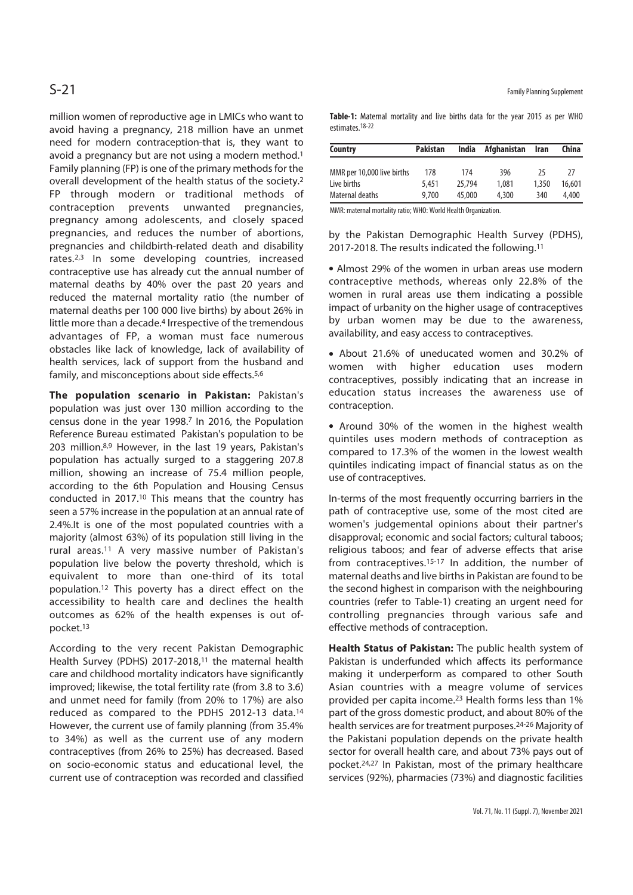million women of reproductive age in LMICs who want to avoid having a pregnancy, 218 million have an unmet need for modern contraception-that is, they want to avoid a pregnancy but are not using a modern method.1 Family planning (FP) is one of the primary methods for the overall development of the health status of the society.2 FP through modern or traditional methods of contraception prevents unwanted pregnancies, pregnancy among adolescents, and closely spaced pregnancies, and reduces the number of abortions, pregnancies and childbirth-related death and disability rates.2,3 In some developing countries, increased contraceptive use has already cut the annual number of maternal deaths by 40% over the past 20 years and reduced the maternal mortality ratio (the number of maternal deaths per 100 000 live births) by about 26% in little more than a decade.<sup>4</sup> Irrespective of the tremendous advantages of FP, a woman must face numerous obstacles like lack of knowledge, lack of availability of health services, lack of support from the husband and family, and misconceptions about side effects.<sup>5,6</sup>

**The population scenario in Pakistan:** Pakistan's population was just over 130 million according to the census done in the year 1998.7 In 2016, the Population Reference Bureau estimated Pakistan's population to be 203 million.8,9 However, in the last 19 years, Pakistan's population has actually surged to a staggering 207.8 million, showing an increase of 75.4 million people, according to the 6th Population and Housing Census conducted in 2017.10 This means that the country has seen a 57% increase in the population at an annual rate of 2.4%.It is one of the most populated countries with a majority (almost 63%) of its population still living in the rural areas.11 A very massive number of Pakistan's population live below the poverty threshold, which is equivalent to more than one-third of its total population.12 This poverty has a direct effect on the accessibility to health care and declines the health outcomes as 62% of the health expenses is out ofpocket.13

According to the very recent Pakistan Demographic Health Survey (PDHS) 2017-2018,<sup>11</sup> the maternal health care and childhood mortality indicators have significantly improved; likewise, the total fertility rate (from 3.8 to 3.6) and unmet need for family (from 20% to 17%) are also reduced as compared to the PDHS 2012-13 data.14 However, the current use of family planning (from 35.4% to 34%) as well as the current use of any modern contraceptives (from 26% to 25%) has decreased. Based on socio-economic status and educational level, the current use of contraception was recorded and classified

**Table-1:** Maternal mortality and live births data for the year 2015 as per WHO estimates.18-22

| Country                    | <b>Pakistan</b> | India  | Afghanistan | Iran  | China  |
|----------------------------|-----------------|--------|-------------|-------|--------|
| MMR per 10,000 live births | 178             | 174    | 396         | 25    | 77     |
| Live births                | 5.451           | 25,794 | 1,081       | 1.350 | 16,601 |
| Maternal deaths            | 9.700           | 45,000 | 4.300       | 340   | 4.400  |

MMR: maternal mortality ratio; WHO: World Health Organization.

by the Pakistan Demographic Health Survey (PDHS), 2017-2018. The results indicated the following.11

• Almost 29% of the women in urban areas use modern contraceptive methods, whereas only 22.8% of the women in rural areas use them indicating a possible impact of urbanity on the higher usage of contraceptives by urban women may be due to the awareness, availability, and easy access to contraceptives.

• About 21.6% of uneducated women and 30.2% of women with higher education uses modern contraceptives, possibly indicating that an increase in education status increases the awareness use of contraception.

• Around 30% of the women in the highest wealth quintiles uses modern methods of contraception as compared to 17.3% of the women in the lowest wealth quintiles indicating impact of financial status as on the use of contraceptives.

In-terms of the most frequently occurring barriers in the path of contraceptive use, some of the most cited are women's judgemental opinions about their partner's disapproval; economic and social factors; cultural taboos; religious taboos; and fear of adverse effects that arise from contraceptives.<sup>15-17</sup> In addition, the number of maternal deaths and live births in Pakistan are found to be the second highest in comparison with the neighbouring countries (refer to Table-1) creating an urgent need for controlling pregnancies through various safe and effective methods of contraception.

**Health Status of Pakistan:** The public health system of Pakistan is underfunded which affects its performance making it underperform as compared to other South Asian countries with a meagre volume of services provided per capita income.23 Health forms less than 1% part of the gross domestic product, and about 80% of the health services are for treatment purposes.24-26 Majority of the Pakistani population depends on the private health sector for overall health care, and about 73% pays out of pocket.24,27 In Pakistan, most of the primary healthcare services (92%), pharmacies (73%) and diagnostic facilities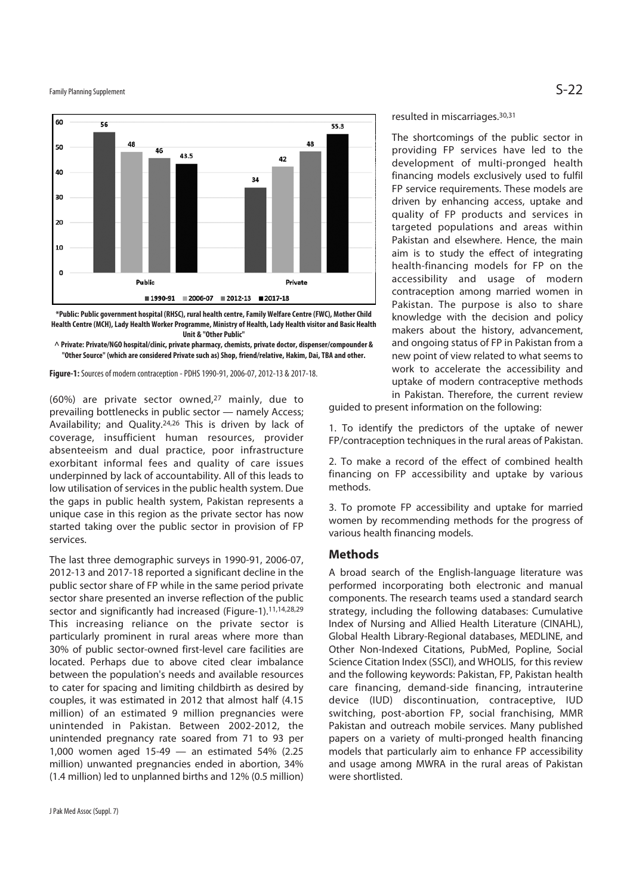Family Planning Supplement  $\mathsf{S}\text{-}22$ 



**\*Public: Public government hospital (RHSC), rural health centre, Family Welfare Centre (FWC), Mother Child Health Centre (MCH), Lady Health Worker Programme, Ministry of Health, Lady Health visitor and Basic Health Unit & "Other Public"** 

**^ Private: Private/NGO hospital/clinic, private pharmacy, chemists, private doctor, dispenser/compounder & "Other Source" (which are considered Private such as) Shop, friend/relative, Hakim, Dai, TBA and other.** 

**Figure-1:** Sources of modern contraception - PDHS 1990-91, 2006-07, 2012-13 & 2017-18.

(60%) are private sector owned,27 mainly, due to prevailing bottlenecks in public sector — namely Access; Availability; and Quality.24,26 This is driven by lack of coverage, insufficient human resources, provider absenteeism and dual practice, poor infrastructure exorbitant informal fees and quality of care issues underpinned by lack of accountability. All of this leads to low utilisation of services in the public health system. Due the gaps in public health system, Pakistan represents a unique case in this region as the private sector has now started taking over the public sector in provision of FP services.

The last three demographic surveys in 1990-91, 2006-07, 2012-13 and 2017-18 reported a significant decline in the public sector share of FP while in the same period private sector share presented an inverse reflection of the public sector and significantly had increased (Figure-1).<sup>11,14,28,29</sup> This increasing reliance on the private sector is particularly prominent in rural areas where more than 30% of public sector-owned first-level care facilities are located. Perhaps due to above cited clear imbalance between the population's needs and available resources to cater for spacing and limiting childbirth as desired by couples, it was estimated in 2012 that almost half (4.15 million) of an estimated 9 million pregnancies were unintended in Pakistan. Between 2002-2012, the unintended pregnancy rate soared from 71 to 93 per 1,000 women aged 15-49 — an estimated 54% (2.25 million) unwanted pregnancies ended in abortion, 34% (1.4 million) led to unplanned births and 12% (0.5 million)

resulted in miscarriages.30,31

The shortcomings of the public sector in providing FP services have led to the development of multi-pronged health financing models exclusively used to fulfil FP service requirements. These models are driven by enhancing access, uptake and quality of FP products and services in targeted populations and areas within Pakistan and elsewhere. Hence, the main aim is to study the effect of integrating health-financing models for FP on the accessibility and usage of modern contraception among married women in Pakistan. The purpose is also to share knowledge with the decision and policy makers about the history, advancement, and ongoing status of FP in Pakistan from a new point of view related to what seems to work to accelerate the accessibility and uptake of modern contraceptive methods in Pakistan. Therefore, the current review

guided to present information on the following:

1. To identify the predictors of the uptake of newer FP/contraception techniques in the rural areas of Pakistan.

2. To make a record of the effect of combined health financing on FP accessibility and uptake by various methods.

3. To promote FP accessibility and uptake for married women by recommending methods for the progress of various health financing models.

### **Methods**

A broad search of the English-language literature was performed incorporating both electronic and manual components. The research teams used a standard search strategy, including the following databases: Cumulative Index of Nursing and Allied Health Literature (CINAHL), Global Health Library-Regional databases, MEDLINE, and Other Non-Indexed Citations, PubMed, Popline, Social Science Citation Index (SSCI), and WHOLIS, for this review and the following keywords: Pakistan, FP, Pakistan health care financing, demand-side financing, intrauterine device (IUD) discontinuation, contraceptive, IUD switching, post-abortion FP, social franchising, MMR Pakistan and outreach mobile services. Many published papers on a variety of multi-pronged health financing models that particularly aim to enhance FP accessibility and usage among MWRA in the rural areas of Pakistan were shortlisted.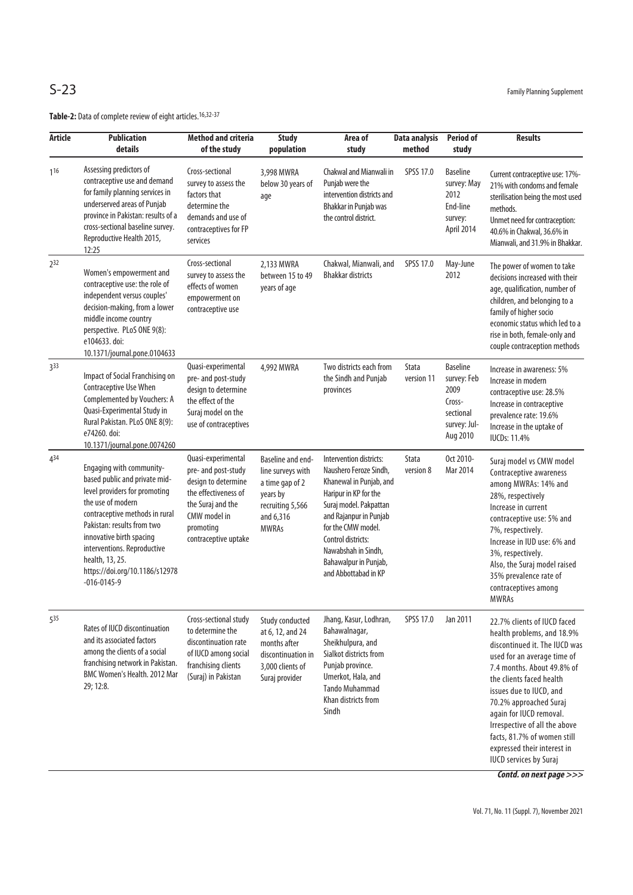| <b>Article</b>  | <b>Publication</b><br>details                                                                                                                                                                                                                                                                                        | <b>Method and criteria</b><br>of the study                                                                                                                         | <b>Study</b><br>population                                                                                             | Area of<br>study                                                                                                                                                                                                                                                              | Data analysis<br>method    | <b>Period of</b><br>study                                                                 | <b>Results</b>                                                                                                                                                                                                                                                                                                                                                                                      |
|-----------------|----------------------------------------------------------------------------------------------------------------------------------------------------------------------------------------------------------------------------------------------------------------------------------------------------------------------|--------------------------------------------------------------------------------------------------------------------------------------------------------------------|------------------------------------------------------------------------------------------------------------------------|-------------------------------------------------------------------------------------------------------------------------------------------------------------------------------------------------------------------------------------------------------------------------------|----------------------------|-------------------------------------------------------------------------------------------|-----------------------------------------------------------------------------------------------------------------------------------------------------------------------------------------------------------------------------------------------------------------------------------------------------------------------------------------------------------------------------------------------------|
| 116             | Assessing predictors of<br>contraceptive use and demand<br>for family planning services in<br>underserved areas of Punjab<br>province in Pakistan: results of a<br>cross-sectional baseline survey.<br>Reproductive Health 2015,<br>12:25                                                                            | Cross-sectional<br>survey to assess the<br>factors that<br>determine the<br>demands and use of<br>contraceptives for FP<br>services                                | 3,998 MWRA<br>below 30 years of<br>age                                                                                 | Chakwal and Mianwali in<br>Punjab were the<br>intervention districts and<br>Bhakkar in Punjab was<br>the control district.                                                                                                                                                    | SPSS 17.0                  | <b>Baseline</b><br>survey: May<br>2012<br>End-line<br>survey:<br>April 2014               | Current contraceptive use: 17%-<br>21% with condoms and female<br>sterilisation being the most used<br>methods.<br>Unmet need for contraception:<br>40.6% in Chakwal, 36.6% in<br>Mianwali, and 31.9% in Bhakkar.                                                                                                                                                                                   |
| 2 <sup>32</sup> | Women's empowerment and<br>contraceptive use: the role of<br>independent versus couples'<br>decision-making, from a lower<br>middle income country<br>perspective. PLoS ONE 9(8):<br>e104633. doi:<br>10.1371/journal.pone.0104633                                                                                   | Cross-sectional<br>survey to assess the<br>effects of women<br>empowerment on<br>contraceptive use                                                                 | 2,133 MWRA<br>between 15 to 49<br>years of age                                                                         | Chakwal, Mianwali, and<br><b>Bhakkar districts</b>                                                                                                                                                                                                                            | SPSS 17.0                  | May-June<br>2012                                                                          | The power of women to take<br>decisions increased with their<br>age, qualification, number of<br>children, and belonging to a<br>family of higher socio<br>economic status which led to a<br>rise in both, female-only and<br>couple contraception methods                                                                                                                                          |
| 3 <sup>33</sup> | Impact of Social Franchising on<br>Contraceptive Use When<br>Complemented by Vouchers: A<br>Quasi-Experimental Study in<br>Rural Pakistan. PLoS ONE 8(9):<br>e74260. doi:<br>10.1371/journal.pone.0074260                                                                                                            | Quasi-experimental<br>pre- and post-study<br>design to determine<br>the effect of the<br>Suraj model on the<br>use of contraceptives                               | 4,992 MWRA                                                                                                             | Two districts each from<br>the Sindh and Punjab<br>provinces                                                                                                                                                                                                                  | <b>Stata</b><br>version 11 | <b>Baseline</b><br>survey: Feb<br>2009<br>Cross-<br>sectional<br>survey: Jul-<br>Aug 2010 | Increase in awareness: 5%<br>Increase in modern<br>contraceptive use: 28.5%<br>Increase in contraceptive<br>prevalence rate: 19.6%<br>Increase in the uptake of<br><b>IUCDs: 11.4%</b>                                                                                                                                                                                                              |
| 434             | Engaging with community-<br>based public and private mid-<br>level providers for promoting<br>the use of modern<br>contraceptive methods in rural<br>Pakistan: results from two<br>innovative birth spacing<br>interventions. Reproductive<br>health, 13, 25.<br>https://doi.org/10.1186/s12978<br>$-016 - 0145 - 9$ | Quasi-experimental<br>pre- and post-study<br>design to determine<br>the effectiveness of<br>the Suraj and the<br>CMW model in<br>promoting<br>contraceptive uptake | Baseline and end-<br>line surveys with<br>a time gap of 2<br>years by<br>recruiting 5,566<br>and 6,316<br><b>MWRAs</b> | Intervention districts:<br>Naushero Feroze Sindh,<br>Khanewal in Punjab, and<br>Haripur in KP for the<br>Suraj model. Pakpattan<br>and Rajanpur in Punjab<br>for the CMW model.<br>Control districts:<br>Nawabshah in Sindh,<br>Bahawalpur in Punjab,<br>and Abbottabad in KP | Stata<br>version 8         | Oct 2010-<br>Mar 2014                                                                     | Suraj model vs CMW model<br>Contraceptive awareness<br>among MWRAs: 14% and<br>28%, respectively<br>Increase in current<br>contraceptive use: 5% and<br>7%, respectively.<br>Increase in IUD use: 6% and<br>3%, respectively.<br>Also, the Suraj model raised<br>35% prevalence rate of<br>contraceptives among<br>MWRAs                                                                            |
| 535             | Rates of IUCD discontinuation<br>and its associated factors<br>among the clients of a social<br>franchising network in Pakistan.<br>BMC Women's Health. 2012 Mar<br>29; 12:8.                                                                                                                                        | Cross-sectional study<br>to determine the<br>discontinuation rate<br>of IUCD among social<br>franchising clients<br>(Suraj) in Pakistan                            | Study conducted<br>at 6, 12, and 24<br>months after<br>discontinuation in<br>3,000 clients of<br>Suraj provider        | Jhang, Kasur, Lodhran,<br>Bahawalnagar,<br>Sheikhulpura, and<br>Sialkot districts from<br>Punjab province.<br>Umerkot, Hala, and<br><b>Tando Muhammad</b><br>Khan districts from<br>Sindh                                                                                     | SPSS 17.0                  | Jan 2011                                                                                  | 22.7% clients of IUCD faced<br>health problems, and 18.9%<br>discontinued it. The IUCD was<br>used for an average time of<br>7.4 months. About 49.8% of<br>the clients faced health<br>issues due to IUCD, and<br>70.2% approached Suraj<br>again for IUCD removal.<br>Irrespective of all the above<br>facts, 81.7% of women still<br>expressed their interest in<br><b>IUCD</b> services by Suraj |

**Contd. on next page >>>**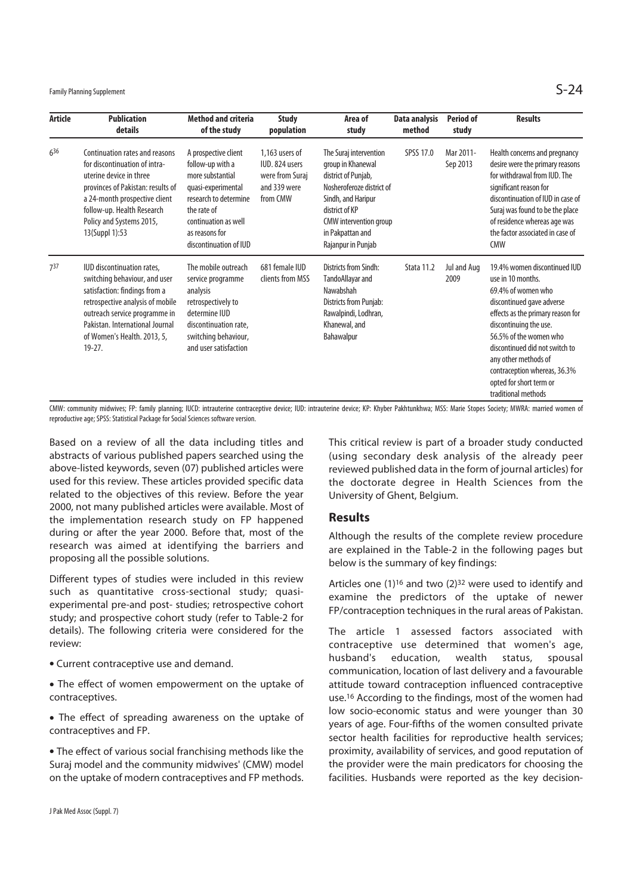Family Planning Supplement  $\mathsf{S}\text{-}24$ 

| <b>Article</b> | <b>Publication</b><br>details                                                                                                                                                                                                                     | <b>Method and criteria</b><br>of the study                                                                                                                                                     | <b>Study</b><br>population                                                      | Area of<br>study                                                                                                                                                                                            | Data analysis<br>method | <b>Period of</b><br>study | <b>Results</b>                                                                                                                                                                                                                                                                                                                            |
|----------------|---------------------------------------------------------------------------------------------------------------------------------------------------------------------------------------------------------------------------------------------------|------------------------------------------------------------------------------------------------------------------------------------------------------------------------------------------------|---------------------------------------------------------------------------------|-------------------------------------------------------------------------------------------------------------------------------------------------------------------------------------------------------------|-------------------------|---------------------------|-------------------------------------------------------------------------------------------------------------------------------------------------------------------------------------------------------------------------------------------------------------------------------------------------------------------------------------------|
| $6^{36}$       | Continuation rates and reasons<br>for discontinuation of intra-<br>uterine device in three<br>provinces of Pakistan: results of<br>a 24-month prospective client<br>follow-up. Health Research<br>Policy and Systems 2015,<br>13(Suppl 1):53      | A prospective client<br>follow-up with a<br>more substantial<br>quasi-experimental<br>research to determine<br>the rate of<br>continuation as well<br>as reasons for<br>discontinuation of IUD | 1.163 users of<br>IUD. 824 users<br>were from Suraj<br>and 339 were<br>from CMW | The Suraj intervention<br>group in Khanewal<br>district of Punjab,<br>Nosheroferoze district of<br>Sindh, and Haripur<br>district of KP<br>CMW intervention group<br>in Pakpattan and<br>Rajanpur in Punjab | SPSS 17.0               | Mar 2011-<br>Sep 2013     | Health concerns and pregnancy<br>desire were the primary reasons<br>for withdrawal from IUD. The<br>significant reason for<br>discontinuation of IUD in case of<br>Suraj was found to be the place<br>of residence whereas age was<br>the factor associated in case of<br><b>CMW</b>                                                      |
| 737            | IUD discontinuation rates,<br>switching behaviour, and user<br>satisfaction: findings from a<br>retrospective analysis of mobile<br>outreach service programme in<br>Pakistan, International Journal<br>of Women's Health. 2013, 5,<br>$19 - 27.$ | The mobile outreach<br>service programme<br>analysis<br>retrospectively to<br>determine IUD<br>discontinuation rate,<br>switching behaviour,<br>and user satisfaction                          | 681 female IUD<br>clients from MSS                                              | Districts from Sindh:<br>TandoAllayar and<br>Nawabshah<br>Districts from Punjab:<br>Rawalpindi, Lodhran,<br>Khanewal, and<br>Bahawalpur                                                                     | Stata 11.2              | Jul and Aug<br>2009       | 19.4% women discontinued IUD<br>use in 10 months.<br>69.4% of women who<br>discontinued gave adverse<br>effects as the primary reason for<br>discontinuing the use.<br>56.5% of the women who<br>discontinued did not switch to<br>any other methods of<br>contraception whereas, 36.3%<br>opted for short term or<br>traditional methods |

CMW: community midwives; FP: family planning; IUCD: intrauterine contraceptive device; IUD: intrauterine device; KP: Khyber Pakhtunkhwa; MSS: Marie Stopes Society; MWRA: married women of reproductive age; SPSS: Statistical Package for Social Sciences software version.

Based on a review of all the data including titles and abstracts of various published papers searched using the above-listed keywords, seven (07) published articles were used for this review. These articles provided specific data related to the objectives of this review. Before the year 2000, not many published articles were available. Most of the implementation research study on FP happened during or after the year 2000. Before that, most of the research was aimed at identifying the barriers and proposing all the possible solutions.

Different types of studies were included in this review such as quantitative cross-sectional study; quasiexperimental pre-and post- studies; retrospective cohort study; and prospective cohort study (refer to Table-2 for details). The following criteria were considered for the review:

- Current contraceptive use and demand.
- The effect of women empowerment on the uptake of contraceptives.
- The effect of spreading awareness on the uptake of contraceptives and FP.

• The effect of various social franchising methods like the Suraj model and the community midwives' (CMW) model on the uptake of modern contraceptives and FP methods. This critical review is part of a broader study conducted (using secondary desk analysis of the already peer reviewed published data in the form of journal articles) for the doctorate degree in Health Sciences from the University of Ghent, Belgium.

### **Results**

Although the results of the complete review procedure are explained in the Table-2 in the following pages but below is the summary of key findings:

Articles one  $(1)^{16}$  and two  $(2)^{32}$  were used to identify and examine the predictors of the uptake of newer FP/contraception techniques in the rural areas of Pakistan.

The article 1 assessed factors associated with contraceptive use determined that women's age, husband's education, wealth status, spousal communication, location of last delivery and a favourable attitude toward contraception influenced contraceptive use.16 According to the findings, most of the women had low socio-economic status and were younger than 30 years of age. Four-fifths of the women consulted private sector health facilities for reproductive health services; proximity, availability of services, and good reputation of the provider were the main predicators for choosing the facilities. Husbands were reported as the key decision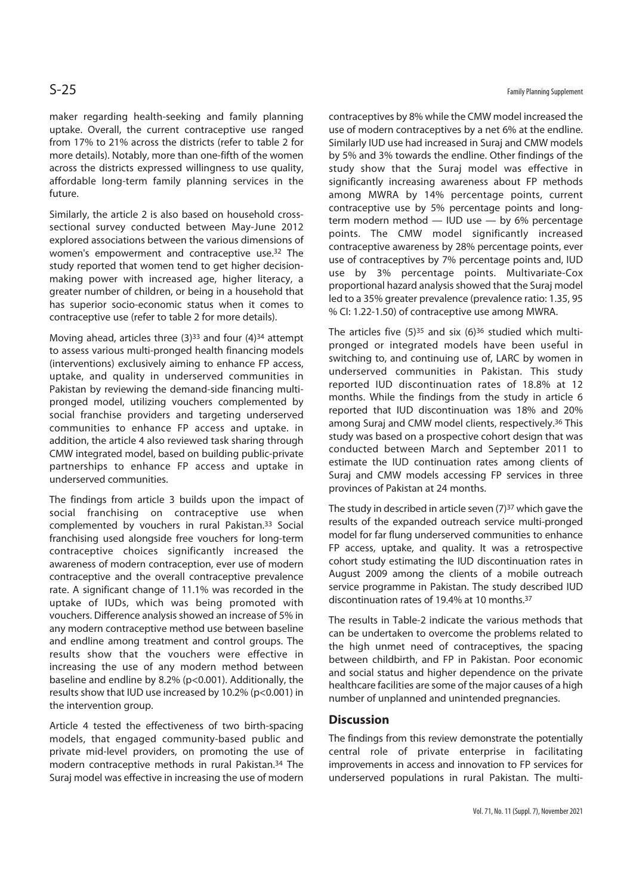maker regarding health-seeking and family planning uptake. Overall, the current contraceptive use ranged from 17% to 21% across the districts (refer to table 2 for more details). Notably, more than one-fifth of the women across the districts expressed willingness to use quality, affordable long-term family planning services in the future.

Similarly, the article 2 is also based on household crosssectional survey conducted between May-June 2012 explored associations between the various dimensions of women's empowerment and contraceptive use.32 The study reported that women tend to get higher decisionmaking power with increased age, higher literacy, a greater number of children, or being in a household that has superior socio-economic status when it comes to contraceptive use (refer to table 2 for more details).

Moving ahead, articles three (3)33 and four (4)34 attempt to assess various multi-pronged health financing models (interventions) exclusively aiming to enhance FP access, uptake, and quality in underserved communities in Pakistan by reviewing the demand-side financing multipronged model, utilizing vouchers complemented by social franchise providers and targeting underserved communities to enhance FP access and uptake. in addition, the article 4 also reviewed task sharing through CMW integrated model, based on building public-private partnerships to enhance FP access and uptake in underserved communities.

The findings from article 3 builds upon the impact of social franchising on contraceptive use when complemented by vouchers in rural Pakistan.33 Social franchising used alongside free vouchers for long-term contraceptive choices significantly increased the awareness of modern contraception, ever use of modern contraceptive and the overall contraceptive prevalence rate. A significant change of 11.1% was recorded in the uptake of IUDs, which was being promoted with vouchers. Difference analysis showed an increase of 5% in any modern contraceptive method use between baseline and endline among treatment and control groups. The results show that the vouchers were effective in increasing the use of any modern method between baseline and endline by 8.2% (p<0.001). Additionally, the results show that IUD use increased by 10.2% (p<0.001) in the intervention group.

Article 4 tested the effectiveness of two birth-spacing models, that engaged community-based public and private mid-level providers, on promoting the use of modern contraceptive methods in rural Pakistan.34 The Suraj model was effective in increasing the use of modern

contraceptives by 8% while the CMW model increased the use of modern contraceptives by a net 6% at the endline. Similarly IUD use had increased in Suraj and CMW models by 5% and 3% towards the endline. Other findings of the study show that the Suraj model was effective in significantly increasing awareness about FP methods among MWRA by 14% percentage points, current contraceptive use by 5% percentage points and longterm modern method — IUD use — by 6% percentage points. The CMW model significantly increased contraceptive awareness by 28% percentage points, ever use of contraceptives by 7% percentage points and, IUD use by 3% percentage points. Multivariate-Cox proportional hazard analysis showed that the Suraj model led to a 35% greater prevalence (prevalence ratio: 1.35, 95 % CI: 1.22-1.50) of contraceptive use among MWRA.

The articles five  $(5)^{35}$  and six  $(6)^{36}$  studied which multipronged or integrated models have been useful in switching to, and continuing use of, LARC by women in underserved communities in Pakistan. This study reported IUD discontinuation rates of 18.8% at 12 months. While the findings from the study in article 6 reported that IUD discontinuation was 18% and 20% among Suraj and CMW model clients, respectively.36 This study was based on a prospective cohort design that was conducted between March and September 2011 to estimate the IUD continuation rates among clients of Suraj and CMW models accessing FP services in three provinces of Pakistan at 24 months.

The study in described in article seven  $(7)^{37}$  which gave the results of the expanded outreach service multi-pronged model for far flung underserved communities to enhance FP access, uptake, and quality. It was a retrospective cohort study estimating the IUD discontinuation rates in August 2009 among the clients of a mobile outreach service programme in Pakistan. The study described IUD discontinuation rates of 19.4% at 10 months.37

The results in Table-2 indicate the various methods that can be undertaken to overcome the problems related to the high unmet need of contraceptives, the spacing between childbirth, and FP in Pakistan. Poor economic and social status and higher dependence on the private healthcare facilities are some of the major causes of a high number of unplanned and unintended pregnancies.

## **Discussion**

The findings from this review demonstrate the potentially central role of private enterprise in facilitating improvements in access and innovation to FP services for underserved populations in rural Pakistan. The multi-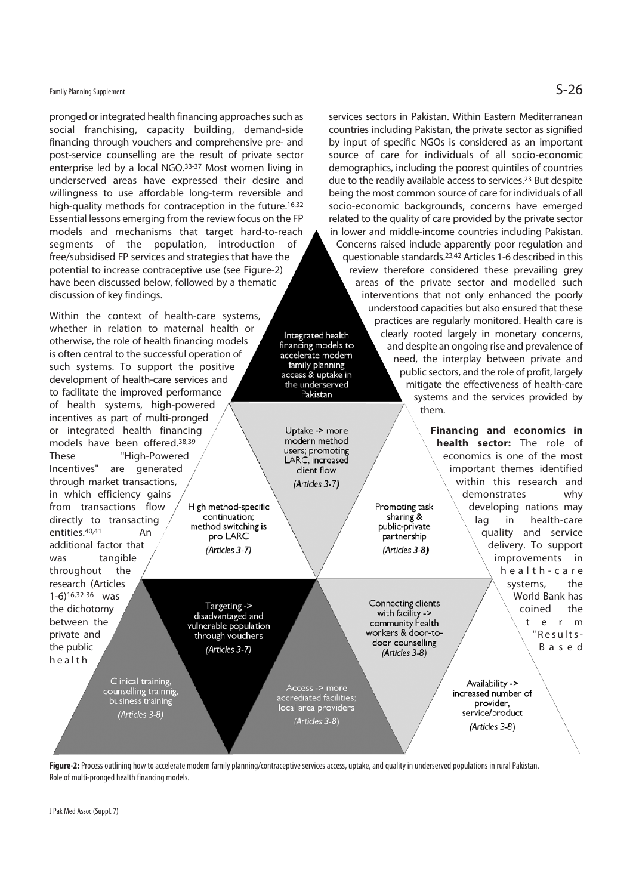## Family Planning Supplement  $\mathsf{S}\text{-}26$

pronged or integrated health financing approaches such as social franchising, capacity building, demand-side financing through vouchers and comprehensive pre- and post-service counselling are the result of private sector enterprise led by a local NGO.33-37 Most women living in underserved areas have expressed their desire and willingness to use affordable long-term reversible and high-quality methods for contraception in the future.<sup>16,32</sup> Essential lessons emerging from the review focus on the FP models and mechanisms that target hard-to-reach segments of the population, introduction of free/subsidised FP services and strategies that have the potential to increase contraceptive use (see Figure-2) have been discussed below, followed by a thematic discussion of key findings.

Within the context of health-care systems, whether in relation to maternal health or otherwise, the role of health financing models is often central to the successful operation of such systems. To support the positive development of health-care services and to facilitate the improved performance of health systems, high-powered incentives as part of multi-pronged or integrated health financing models have been offered.38,39 These "High-Powered Incentives" are generated through market transactions, in which efficiency gains from transactions flow High method-specific continuation: directly to transacting method switching is entities.40,41 An pro LARC additional factor that (Articles 3-7) was tangible throughout the research (Articles 1-6)16,32-36 was Targeting -> the dichotomy disadvantaged and between the vulnerable population private and through vouchers the public (Articles 3-7)

> Clinical training, counselling trainnig,<br>business training (Articles 3-8)

countries including Pakistan, the private sector as signified by input of specific NGOs is considered as an important source of care for individuals of all socio-economic demographics, including the poorest quintiles of countries due to the readily available access to services.<sup>23</sup> But despite being the most common source of care for individuals of all socio-economic backgrounds, concerns have emerged related to the quality of care provided by the private sector in lower and middle-income countries including Pakistan. Concerns raised include apparently poor regulation and questionable standards.23,42 Articles 1-6 described in this review therefore considered these prevailing grey areas of the private sector and modelled such interventions that not only enhanced the poorly understood capacities but also ensured that these practices are regularly monitored. Health care is clearly rooted largely in monetary concerns, Integrated health financing models to and despite an ongoing rise and prevalence of accelerate modern need, the interplay between private and family planning public sectors, and the role of profit, largely access & uptake in the underserved mitigate the effectiveness of health-care systems and the services provided by them.

services sectors in Pakistan. Within Eastern Mediterranean

**Financing and economics in health sector:** The role of economics is one of the most important themes identified within this research and demonstrates why developing nations may lag in health-care quality and service delivery. To support improvements in h e a l t h - c a r e systems, the World Bank has coined the t e r m "Results-B a s e d

> Availability -> increased number of provider, service/product (Articles 3-8)



Access -> mor<mark>e</mark><br>accrediated facilities

local area providers

(Articles 3-8)

Pakistan

Untake -> more modern method users; promoting LARC, increased client flow (Articles 3-7)

Promoting task

sharing  $\&$ 

public-private

partnership

(Articles 3-8)

Connecting clients

with facility ->

community health

workers & door-to-

door counselling

(Articles 3-8)

J Pak Med Assoc (Suppl. 7)

health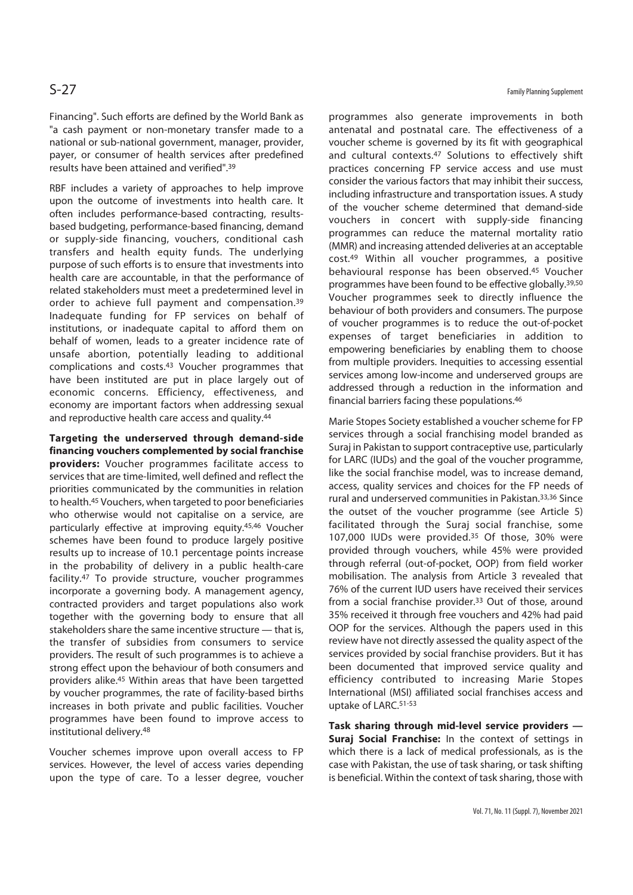Financing". Such efforts are defined by the World Bank as "a cash payment or non-monetary transfer made to a national or sub-national government, manager, provider, payer, or consumer of health services after predefined results have been attained and verified".39

RBF includes a variety of approaches to help improve upon the outcome of investments into health care. It often includes performance-based contracting, resultsbased budgeting, performance-based financing, demand or supply-side financing, vouchers, conditional cash transfers and health equity funds. The underlying purpose of such efforts is to ensure that investments into health care are accountable, in that the performance of related stakeholders must meet a predetermined level in order to achieve full payment and compensation.39 Inadequate funding for FP services on behalf of institutions, or inadequate capital to afford them on behalf of women, leads to a greater incidence rate of unsafe abortion, potentially leading to additional complications and costs.43 Voucher programmes that have been instituted are put in place largely out of economic concerns. Efficiency, effectiveness, and economy are important factors when addressing sexual and reproductive health care access and quality.<sup>44</sup>

**Targeting the underserved through demand-side financing vouchers complemented by social franchise providers:** Voucher programmes facilitate access to services that are time-limited, well defined and reflect the priorities communicated by the communities in relation to health.45 Vouchers, when targeted to poor beneficiaries who otherwise would not capitalise on a service, are particularly effective at improving equity.45,46 Voucher schemes have been found to produce largely positive results up to increase of 10.1 percentage points increase in the probability of delivery in a public health-care facility.47 To provide structure, voucher programmes incorporate a governing body. A management agency, contracted providers and target populations also work together with the governing body to ensure that all stakeholders share the same incentive structure — that is, the transfer of subsidies from consumers to service providers. The result of such programmes is to achieve a strong effect upon the behaviour of both consumers and providers alike.45 Within areas that have been targetted by voucher programmes, the rate of facility-based births increases in both private and public facilities. Voucher programmes have been found to improve access to institutional delivery.48

Voucher schemes improve upon overall access to FP services. However, the level of access varies depending upon the type of care. To a lesser degree, voucher programmes also generate improvements in both antenatal and postnatal care. The effectiveness of a voucher scheme is governed by its fit with geographical and cultural contexts.<sup>47</sup> Solutions to effectively shift practices concerning FP service access and use must consider the various factors that may inhibit their success, including infrastructure and transportation issues. A study of the voucher scheme determined that demand-side vouchers in concert with supply-side financing programmes can reduce the maternal mortality ratio (MMR) and increasing attended deliveries at an acceptable cost.49 Within all voucher programmes, a positive behavioural response has been observed.45 Voucher programmes have been found to be effective globally.39,50 Voucher programmes seek to directly influence the behaviour of both providers and consumers. The purpose of voucher programmes is to reduce the out-of-pocket expenses of target beneficiaries in addition to empowering beneficiaries by enabling them to choose from multiple providers. Inequities to accessing essential services among low-income and underserved groups are addressed through a reduction in the information and financial barriers facing these populations.46

Marie Stopes Society established a voucher scheme for FP services through a social franchising model branded as Suraj in Pakistan to support contraceptive use, particularly for LARC (IUDs) and the goal of the voucher programme, like the social franchise model, was to increase demand, access, quality services and choices for the FP needs of rural and underserved communities in Pakistan.33,36 Since the outset of the voucher programme (see Article 5) facilitated through the Suraj social franchise, some 107,000 IUDs were provided.35 Of those, 30% were provided through vouchers, while 45% were provided through referral (out-of-pocket, OOP) from field worker mobilisation. The analysis from Article 3 revealed that 76% of the current IUD users have received their services from a social franchise provider.<sup>33</sup> Out of those, around 35% received it through free vouchers and 42% had paid OOP for the services. Although the papers used in this review have not directly assessed the quality aspect of the services provided by social franchise providers. But it has been documented that improved service quality and efficiency contributed to increasing Marie Stopes International (MSI) affiliated social franchises access and uptake of LARC.51-53

**Task sharing through mid-level service providers — Suraj Social Franchise:** In the context of settings in which there is a lack of medical professionals, as is the case with Pakistan, the use of task sharing, or task shifting is beneficial. Within the context of task sharing, those with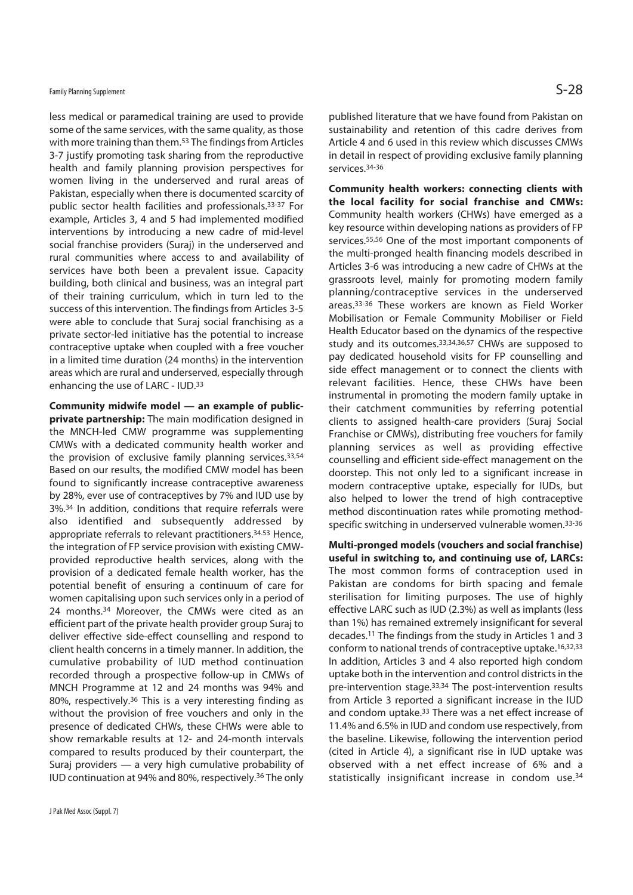less medical or paramedical training are used to provide some of the same services, with the same quality, as those with more training than them.53 The findings from Articles 3-7 justify promoting task sharing from the reproductive health and family planning provision perspectives for women living in the underserved and rural areas of Pakistan, especially when there is documented scarcity of public sector health facilities and professionals.33-37 For example, Articles 3, 4 and 5 had implemented modified interventions by introducing a new cadre of mid-level social franchise providers (Suraj) in the underserved and rural communities where access to and availability of services have both been a prevalent issue. Capacity building, both clinical and business, was an integral part of their training curriculum, which in turn led to the success of this intervention. The findings from Articles 3-5 were able to conclude that Suraj social franchising as a private sector-led initiative has the potential to increase contraceptive uptake when coupled with a free voucher in a limited time duration (24 months) in the intervention areas which are rural and underserved, especially through enhancing the use of LARC - IUD.33

**Community midwife model — an example of publicprivate partnership:** The main modification designed in the MNCH-led CMW programme was supplementing CMWs with a dedicated community health worker and the provision of exclusive family planning services.33,54 Based on our results, the modified CMW model has been found to significantly increase contraceptive awareness by 28%, ever use of contraceptives by 7% and IUD use by 3%.34 In addition, conditions that require referrals were also identified and subsequently addressed by appropriate referrals to relevant practitioners.34.53 Hence, the integration of FP service provision with existing CMWprovided reproductive health services, along with the provision of a dedicated female health worker, has the potential benefit of ensuring a continuum of care for women capitalising upon such services only in a period of 24 months.34 Moreover, the CMWs were cited as an efficient part of the private health provider group Suraj to deliver effective side-effect counselling and respond to client health concerns in a timely manner. In addition, the cumulative probability of IUD method continuation recorded through a prospective follow-up in CMWs of MNCH Programme at 12 and 24 months was 94% and 80%, respectively.36 This is a very interesting finding as without the provision of free vouchers and only in the presence of dedicated CHWs, these CHWs were able to show remarkable results at 12- and 24-month intervals compared to results produced by their counterpart, the Suraj providers — a very high cumulative probability of IUD continuation at 94% and 80%, respectively.36 The only published literature that we have found from Pakistan on sustainability and retention of this cadre derives from Article 4 and 6 used in this review which discusses CMWs in detail in respect of providing exclusive family planning services.34-36

**Community health workers: connecting clients with the local facility for social franchise and CMWs:** Community health workers (CHWs) have emerged as a key resource within developing nations as providers of FP services.55,56 One of the most important components of the multi-pronged health financing models described in Articles 3-6 was introducing a new cadre of CHWs at the grassroots level, mainly for promoting modern family planning/contraceptive services in the underserved areas.33-36 These workers are known as Field Worker Mobilisation or Female Community Mobiliser or Field Health Educator based on the dynamics of the respective study and its outcomes.33,34,36,57 CHWs are supposed to pay dedicated household visits for FP counselling and side effect management or to connect the clients with relevant facilities. Hence, these CHWs have been instrumental in promoting the modern family uptake in their catchment communities by referring potential clients to assigned health-care providers (Suraj Social Franchise or CMWs), distributing free vouchers for family planning services as well as providing effective counselling and efficient side-effect management on the doorstep. This not only led to a significant increase in modern contraceptive uptake, especially for IUDs, but also helped to lower the trend of high contraceptive method discontinuation rates while promoting methodspecific switching in underserved vulnerable women.33-36

**Multi-pronged models (vouchers and social franchise) useful in switching to, and continuing use of, LARCs:** The most common forms of contraception used in Pakistan are condoms for birth spacing and female sterilisation for limiting purposes. The use of highly effective LARC such as IUD (2.3%) as well as implants (less than 1%) has remained extremely insignificant for several decades.11 The findings from the study in Articles 1 and 3 conform to national trends of contraceptive uptake.16,32,33 In addition, Articles 3 and 4 also reported high condom uptake both in the intervention and control districts in the pre-intervention stage.33,34 The post-intervention results from Article 3 reported a significant increase in the IUD and condom uptake.33 There was a net effect increase of 11.4% and 6.5% in IUD and condom use respectively, from the baseline. Likewise, following the intervention period (cited in Article 4), a significant rise in IUD uptake was observed with a net effect increase of 6% and a statistically insignificant increase in condom use.34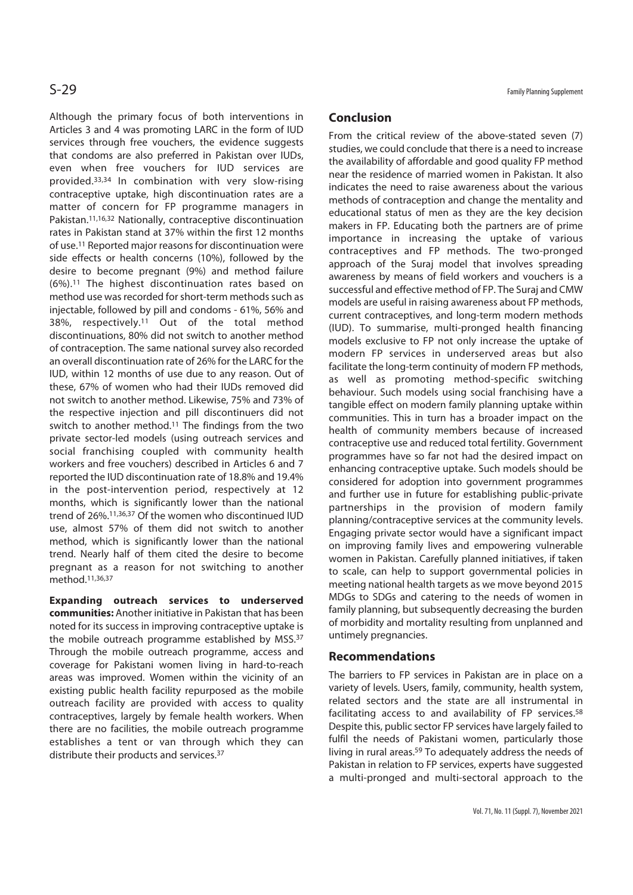Although the primary focus of both interventions in Articles 3 and 4 was promoting LARC in the form of IUD services through free vouchers, the evidence suggests that condoms are also preferred in Pakistan over IUDs, even when free vouchers for IUD services are provided.33,34 In combination with very slow-rising contraceptive uptake, high discontinuation rates are a matter of concern for FP programme managers in Pakistan.11,16,32 Nationally, contraceptive discontinuation rates in Pakistan stand at 37% within the first 12 months of use.11 Reported major reasons for discontinuation were side effects or health concerns (10%), followed by the desire to become pregnant (9%) and method failure (6%).11 The highest discontinuation rates based on method use was recorded for short-term methods such as injectable, followed by pill and condoms - 61%, 56% and 38%, respectively.11 Out of the total method discontinuations, 80% did not switch to another method of contraception. The same national survey also recorded an overall discontinuation rate of 26% for the LARC for the IUD, within 12 months of use due to any reason. Out of these, 67% of women who had their IUDs removed did not switch to another method. Likewise, 75% and 73% of the respective injection and pill discontinuers did not switch to another method.11 The findings from the two private sector-led models (using outreach services and social franchising coupled with community health workers and free vouchers) described in Articles 6 and 7 reported the IUD discontinuation rate of 18.8% and 19.4% in the post-intervention period, respectively at 12 months, which is significantly lower than the national trend of 26%.11,36,37 Of the women who discontinued IUD use, almost 57% of them did not switch to another method, which is significantly lower than the national trend. Nearly half of them cited the desire to become pregnant as a reason for not switching to another method.11,36,37

**Expanding outreach services to underserved communities:** Another initiative in Pakistan that has been noted for its success in improving contraceptive uptake is the mobile outreach programme established by MSS.37 Through the mobile outreach programme, access and coverage for Pakistani women living in hard-to-reach areas was improved. Women within the vicinity of an existing public health facility repurposed as the mobile outreach facility are provided with access to quality contraceptives, largely by female health workers. When there are no facilities, the mobile outreach programme establishes a tent or van through which they can distribute their products and services.37

## **Conclusion**

From the critical review of the above-stated seven (7) studies, we could conclude that there is a need to increase the availability of affordable and good quality FP method near the residence of married women in Pakistan. It also indicates the need to raise awareness about the various methods of contraception and change the mentality and educational status of men as they are the key decision makers in FP. Educating both the partners are of prime importance in increasing the uptake of various contraceptives and FP methods. The two-pronged approach of the Suraj model that involves spreading awareness by means of field workers and vouchers is a successful and effective method of FP. The Suraj and CMW models are useful in raising awareness about FP methods, current contraceptives, and long-term modern methods (IUD). To summarise, multi-pronged health financing models exclusive to FP not only increase the uptake of modern FP services in underserved areas but also facilitate the long-term continuity of modern FP methods, as well as promoting method-specific switching behaviour. Such models using social franchising have a tangible effect on modern family planning uptake within communities. This in turn has a broader impact on the health of community members because of increased contraceptive use and reduced total fertility. Government programmes have so far not had the desired impact on enhancing contraceptive uptake. Such models should be considered for adoption into government programmes and further use in future for establishing public-private partnerships in the provision of modern family planning/contraceptive services at the community levels. Engaging private sector would have a significant impact on improving family lives and empowering vulnerable women in Pakistan. Carefully planned initiatives, if taken to scale, can help to support governmental policies in meeting national health targets as we move beyond 2015 MDGs to SDGs and catering to the needs of women in family planning, but subsequently decreasing the burden of morbidity and mortality resulting from unplanned and untimely pregnancies.

### **Recommendations**

The barriers to FP services in Pakistan are in place on a variety of levels. Users, family, community, health system, related sectors and the state are all instrumental in facilitating access to and availability of FP services.<sup>58</sup> Despite this, public sector FP services have largely failed to fulfil the needs of Pakistani women, particularly those living in rural areas.<sup>59</sup> To adequately address the needs of Pakistan in relation to FP services, experts have suggested a multi-pronged and multi-sectoral approach to the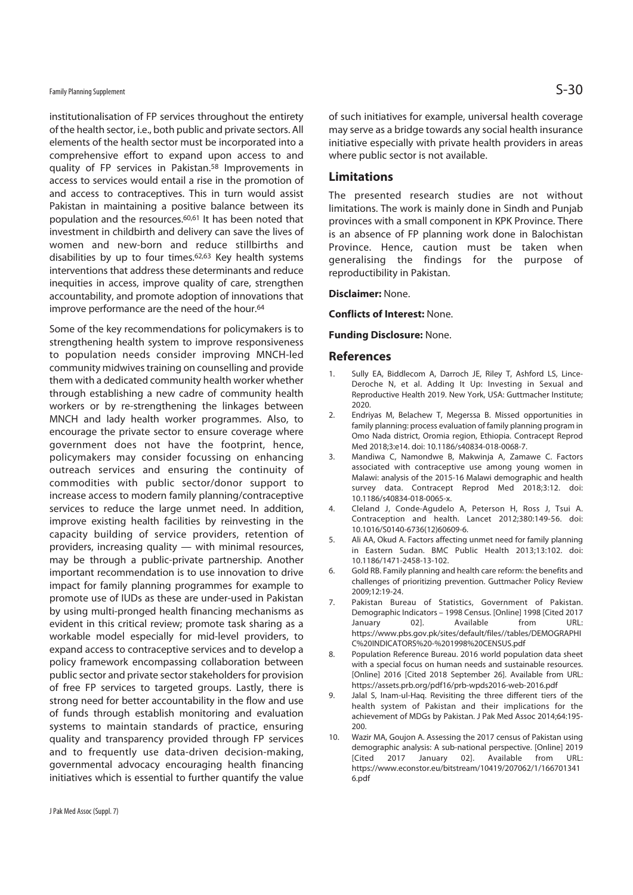## Family Planning Supplement  $\mathsf{S}\text{-30}$

institutionalisation of FP services throughout the entirety of the health sector, i.e., both public and private sectors. All elements of the health sector must be incorporated into a comprehensive effort to expand upon access to and quality of FP services in Pakistan.58 Improvements in access to services would entail a rise in the promotion of and access to contraceptives. This in turn would assist Pakistan in maintaining a positive balance between its population and the resources.60,61 It has been noted that investment in childbirth and delivery can save the lives of women and new-born and reduce stillbirths and disabilities by up to four times.62,63 Key health systems interventions that address these determinants and reduce inequities in access, improve quality of care, strengthen accountability, and promote adoption of innovations that improve performance are the need of the hour.<sup>64</sup>

Some of the key recommendations for policymakers is to strengthening health system to improve responsiveness to population needs consider improving MNCH-led community midwives training on counselling and provide them with a dedicated community health worker whether through establishing a new cadre of community health workers or by re-strengthening the linkages between MNCH and lady health worker programmes. Also, to encourage the private sector to ensure coverage where government does not have the footprint, hence, policymakers may consider focussing on enhancing outreach services and ensuring the continuity of commodities with public sector/donor support to increase access to modern family planning/contraceptive services to reduce the large unmet need. In addition, improve existing health facilities by reinvesting in the capacity building of service providers, retention of providers, increasing quality — with minimal resources, may be through a public-private partnership. Another important recommendation is to use innovation to drive impact for family planning programmes for example to promote use of IUDs as these are under-used in Pakistan by using multi-pronged health financing mechanisms as evident in this critical review; promote task sharing as a workable model especially for mid-level providers, to expand access to contraceptive services and to develop a policy framework encompassing collaboration between public sector and private sector stakeholders for provision of free FP services to targeted groups. Lastly, there is strong need for better accountability in the flow and use of funds through establish monitoring and evaluation systems to maintain standards of practice, ensuring quality and transparency provided through FP services and to frequently use data-driven decision-making, governmental advocacy encouraging health financing initiatives which is essential to further quantify the value

of such initiatives for example, universal health coverage may serve as a bridge towards any social health insurance initiative especially with private health providers in areas where public sector is not available.

### **Limitations**

The presented research studies are not without limitations. The work is mainly done in Sindh and Punjab provinces with a small component in KPK Province. There is an absence of FP planning work done in Balochistan Province. Hence, caution must be taken when generalising the findings for the purpose of reproductibility in Pakistan.

### **Disclaimer:** None.

**Conflicts of Interest:** None.

### **Funding Disclosure:** None.

### **References**

- 1. Sully EA, Biddlecom A, Darroch JE, Riley T, Ashford LS, Lince-Deroche N, et al. Adding It Up: Investing in Sexual and Reproductive Health 2019. New York, USA: Guttmacher Institute; 2020.
- 2. Endriyas M, Belachew T, Megerssa B. Missed opportunities in family planning: process evaluation of family planning program in Omo Nada district, Oromia region, Ethiopia. Contracept Reprod Med 2018;3:e14. doi: 10.1186/s40834-018-0068-7.
- 3. Mandiwa C, Namondwe B, Makwinja A, Zamawe C. Factors associated with contraceptive use among young women in Malawi: analysis of the 2015-16 Malawi demographic and health survey data. Contracept Reprod Med 2018;3:12. doi: 10.1186/s40834-018-0065-x.
- 4. Cleland J, Conde-Agudelo A, Peterson H, Ross J, Tsui A. Contraception and health. Lancet 2012;380:149-56. doi: 10.1016/S0140-6736(12)60609-6.
- 5. Ali AA, Okud A. Factors affecting unmet need for family planning in Eastern Sudan. BMC Public Health 2013;13:102. doi: 10.1186/1471-2458-13-102.
- 6. Gold RB. Family planning and health care reform: the benefits and challenges of prioritizing prevention. Guttmacher Policy Review 2009;12:19-24.
- 7. Pakistan Bureau of Statistics, Government of Pakistan. Demographic Indicators – 1998 Census. [Online] 1998 [Cited 2017 January 02]. Available from URL: https://www.pbs.gov.pk/sites/default/files//tables/DEMOGRAPHI C%20INDICATORS%20-%201998%20CENSUS.pdf
- 8. Population Reference Bureau. 2016 world population data sheet with a special focus on human needs and sustainable resources. [Online] 2016 [Cited 2018 September 26]. Available from URL: https://assets.prb.org/pdf16/prb-wpds2016-web-2016.pdf
- 9. Jalal S, Inam-ul-Haq. Revisiting the three different tiers of the health system of Pakistan and their implications for the achievement of MDGs by Pakistan. J Pak Med Assoc 2014;64:195- 200.
- 10. Wazir MA, Goujon A. Assessing the 2017 census of Pakistan using demographic analysis: A sub-national perspective. [Online] 2019 [Cited 2017 January 02]. Available from URL: https://www.econstor.eu/bitstream/10419/207062/1/166701341 6.pdf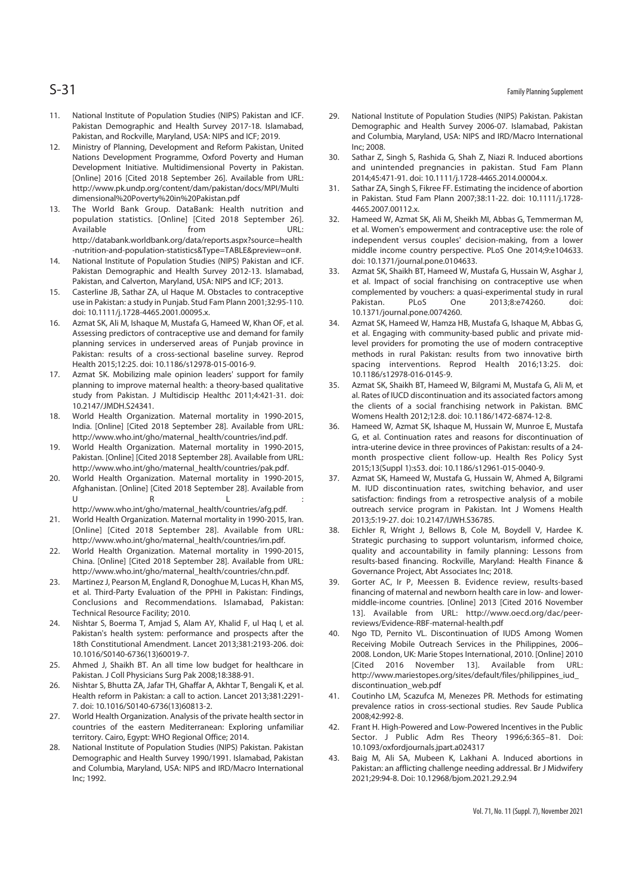- 11. National Institute of Population Studies (NIPS) Pakistan and ICF. Pakistan Demographic and Health Survey 2017-18. Islamabad, Pakistan, and Rockville, Maryland, USA: NIPS and ICF; 2019.
- 12. Ministry of Planning, Development and Reform Pakistan, United Nations Development Programme, Oxford Poverty and Human Development Initiative. Multidimensional Poverty in Pakistan. [Online] 2016 [Cited 2018 September 26]. Available from URL: http://www.pk.undp.org/content/dam/pakistan/docs/MPI/Multi dimensional%20Poverty%20in%20Pakistan.pdf
- 13. The World Bank Group. DataBank: Health nutrition and population statistics. [Online] [Cited 2018 September 26]. Available from URL: http://databank.worldbank.org/data/reports.aspx?source=health -nutrition-and-population-statistics&Type=TABLE&preview=on#.
- 14. National Institute of Population Studies (NIPS) Pakistan and ICF. Pakistan Demographic and Health Survey 2012-13. Islamabad, Pakistan, and Calverton, Maryland, USA: NIPS and ICF; 2013.
- 15. Casterline JB, Sathar ZA, ul Haque M. Obstacles to contraceptive use in Pakistan: a study in Punjab. Stud Fam Plann 2001;32:95-110. doi: 10.1111/j.1728-4465.2001.00095.x.
- 16. Azmat SK, Ali M, Ishaque M, Mustafa G, Hameed W, Khan OF, et al. Assessing predictors of contraceptive use and demand for family planning services in underserved areas of Punjab province in Pakistan: results of a cross-sectional baseline survey. Reprod Health 2015;12:25. doi: 10.1186/s12978-015-0016-9.
- 17. Azmat SK. Mobilizing male opinion leaders' support for family planning to improve maternal health: a theory-based qualitative study from Pakistan. J Multidiscip Healthc 2011;4:421-31. doi: 10.2147/JMDH.S24341.
- 18. World Health Organization. Maternal mortality in 1990-2015, India. [Online] [Cited 2018 September 28]. Available from URL: http://www.who.int/gho/maternal\_health/countries/ind.pdf.
- 19. World Health Organization. Maternal mortality in 1990-2015, Pakistan. [Online] [Cited 2018 September 28]. Available from URL: http://www.who.int/gho/maternal\_health/countries/pak.pdf.
- 20. World Health Organization. Maternal mortality in 1990-2015, Afghanistan. [Online] [Cited 2018 September 28]. Available from U R L : http://www.who.int/gho/maternal\_health/countries/afg.pdf.
- 21. World Health Organization. Maternal mortality in 1990-2015, Iran. [Online] [Cited 2018 September 28]. Available from URL: http://www.who.int/gho/maternal\_health/countries/irn.pdf.
- 22. World Health Organization. Maternal mortality in 1990-2015, China. [Online] [Cited 2018 September 28]. Available from URL: http://www.who.int/gho/maternal\_health/countries/chn.pdf.
- 23. Martinez J, Pearson M, England R, Donoghue M, Lucas H, Khan MS, et al. Third-Party Evaluation of the PPHI in Pakistan: Findings, Conclusions and Recommendations. Islamabad, Pakistan: Technical Resource Facility; 2010.
- 24. Nishtar S, Boerma T, Amjad S, Alam AY, Khalid F, ul Haq I, et al. Pakistan's health system: performance and prospects after the 18th Constitutional Amendment. Lancet 2013;381:2193-206. doi: 10.1016/S0140-6736(13)60019-7.
- 25. Ahmed J, Shaikh BT. An all time low budget for healthcare in Pakistan. J Coll Physicians Surg Pak 2008;18:388-91.
- 26. Nishtar S, Bhutta ZA, Jafar TH, Ghaffar A, Akhtar T, Bengali K, et al. Health reform in Pakistan: a call to action. Lancet 2013;381:2291- 7. doi: 10.1016/S0140-6736(13)60813-2.
- 27. World Health Organization. Analysis of the private health sector in countries of the eastern Mediterranean: Exploring unfamiliar territory. Cairo, Egypt: WHO Regional Office; 2014.
- 28. National Institute of Population Studies (NIPS) Pakistan. Pakistan Demographic and Health Survey 1990/1991. Islamabad, Pakistan and Columbia, Maryland, USA: NIPS and IRD/Macro International Inc; 1992.
- 29. National Institute of Population Studies (NIPS) Pakistan. Pakistan Demographic and Health Survey 2006-07. Islamabad, Pakistan and Columbia, Maryland, USA: NIPS and IRD/Macro International Inc; 2008.
- 30. Sathar Z, Singh S, Rashida G, Shah Z, Niazi R. Induced abortions and unintended pregnancies in pakistan. Stud Fam Plann 2014;45:471-91. doi: 10.1111/j.1728-4465.2014.00004.x.
- 31. Sathar ZA, Singh S, Fikree FF. Estimating the incidence of abortion in Pakistan. Stud Fam Plann 2007;38:11-22. doi: 10.1111/j.1728- 4465.2007.00112.x.
- 32. Hameed W, Azmat SK, Ali M, Sheikh MI, Abbas G, Temmerman M, et al. Women's empowerment and contraceptive use: the role of independent versus couples' decision-making, from a lower middle income country perspective. PLoS One 2014;9:e104633. doi: 10.1371/journal.pone.0104633.
- 33. Azmat SK, Shaikh BT, Hameed W, Mustafa G, Hussain W, Asghar J, et al. Impact of social franchising on contraceptive use when complemented by vouchers: a quasi-experimental study in rural Pakistan. PLoS One 2013;8:e74260. doi: 10.1371/journal.pone.0074260.
- 34. Azmat SK, Hameed W, Hamza HB, Mustafa G, Ishaque M, Abbas G, et al. Engaging with community-based public and private midlevel providers for promoting the use of modern contraceptive methods in rural Pakistan: results from two innovative birth spacing interventions. Reprod Health 2016;13:25. doi: 10.1186/s12978-016-0145-9.
- 35. Azmat SK, Shaikh BT, Hameed W, Bilgrami M, Mustafa G, Ali M, et al. Rates of IUCD discontinuation and its associated factors among the clients of a social franchising network in Pakistan. BMC Womens Health 2012;12:8. doi: 10.1186/1472-6874-12-8.
- 36. Hameed W, Azmat SK, Ishaque M, Hussain W, Munroe E, Mustafa G, et al. Continuation rates and reasons for discontinuation of intra-uterine device in three provinces of Pakistan: results of a 24 month prospective client follow-up. Health Res Policy Syst 2015;13(Suppl 1):s53. doi: 10.1186/s12961-015-0040-9.
- 37. Azmat SK, Hameed W, Mustafa G, Hussain W, Ahmed A, Bilgrami M. IUD discontinuation rates, switching behavior, and user satisfaction: findings from a retrospective analysis of a mobile outreach service program in Pakistan. Int J Womens Health 2013;5:19-27. doi: 10.2147/IJWH.S36785.
- 38. Eichler R, Wright J, Bellows B, Cole M, Boydell V, Hardee K. Strategic purchasing to support voluntarism, informed choice, quality and accountability in family planning: Lessons from results-based financing. Rockville, Maryland: Health Finance & Governance Project, Abt Associates Inc; 2018.
- 39. Gorter AC, Ir P, Meessen B. Evidence review, results-based financing of maternal and newborn health care in low- and lowermiddle-income countries. [Online] 2013 [Cited 2016 November 13]. Available from URL: http://www.oecd.org/dac/peerreviews/Evidence-RBF-maternal-health.pdf
- 40. Ngo TD, Pernito VL. Discontinuation of IUDS Among Women Receiving Mobile Outreach Services in the Philippines, 2006– 2008. London, UK: Marie Stopes International, 2010. [Online] 2010 [Cited 2016 November 13]. Available from URL: http://www.mariestopes.org/sites/default/files/philippines\_iud\_ discontinuation\_web.pdf
- 41. Coutinho LM, Scazufca M, Menezes PR. Methods for estimating prevalence ratios in cross-sectional studies. Rev Saude Publica 2008;42:992-8.
- 42. Frant H. High-Powered and Low-Powered Incentives in the Public Sector. J Public Adm Res Theory 1996;6:365–81. Doi: 10.1093/oxfordjournals.jpart.a024317
- 43. Baig M, Ali SA, Mubeen K, Lakhani A. Induced abortions in Pakistan: an afflicting challenge needing addressal. Br J Midwifery 2021;29:94-8. Doi: 10.12968/bjom.2021.29.2.94